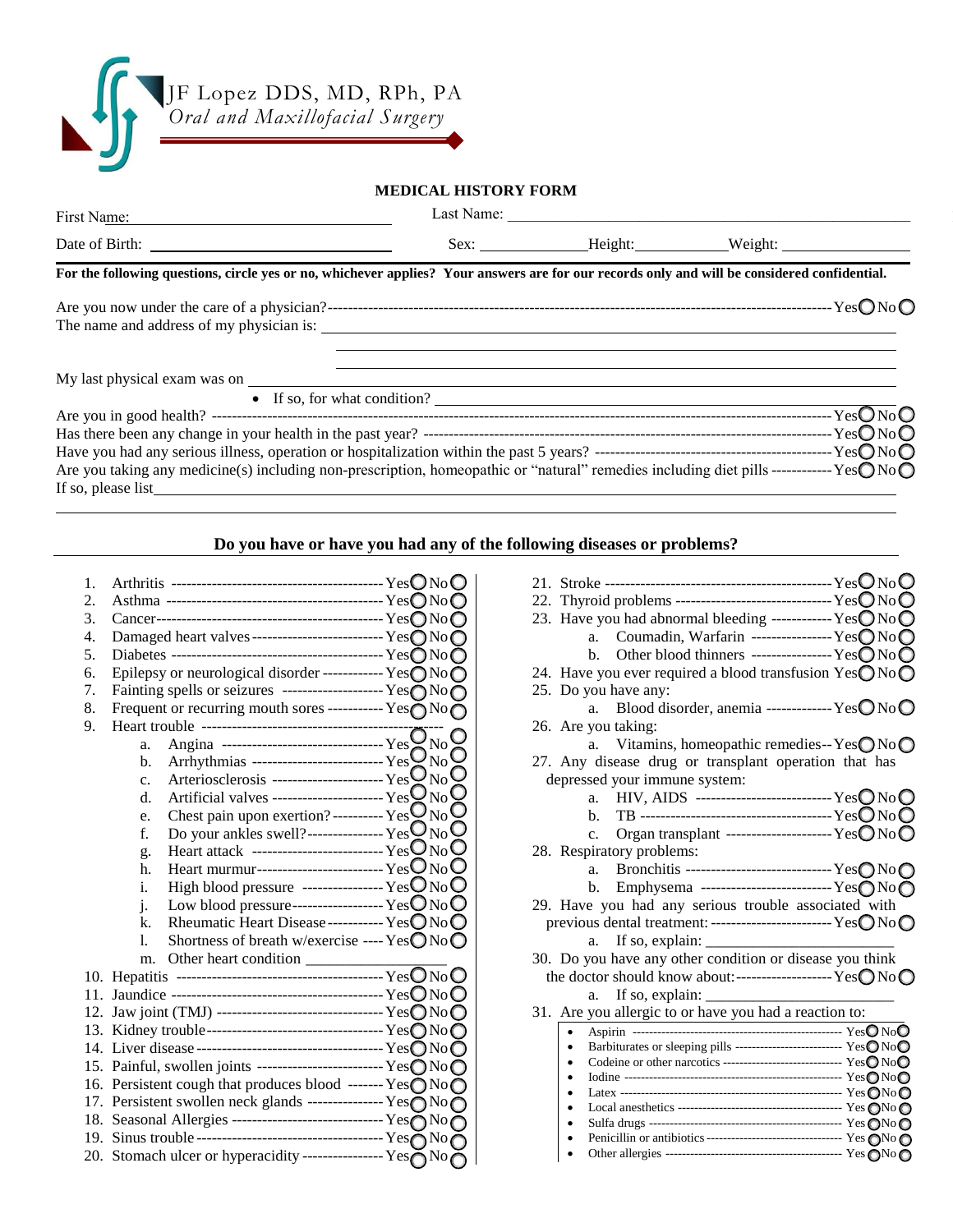

## **MEDICAL HISTORY FORM**

| First Name:                                                                                                                                                                                                                         | Last Name:                                                                       |  |
|-------------------------------------------------------------------------------------------------------------------------------------------------------------------------------------------------------------------------------------|----------------------------------------------------------------------------------|--|
|                                                                                                                                                                                                                                     | Sex: ______________Height: ____________Weight: _________________________________ |  |
| For the following questions, circle yes or no, whichever applies? Your answers are for our records only and will be considered confidential.                                                                                        |                                                                                  |  |
|                                                                                                                                                                                                                                     |                                                                                  |  |
|                                                                                                                                                                                                                                     |                                                                                  |  |
|                                                                                                                                                                                                                                     |                                                                                  |  |
| My last physical exam was on <b>Example 2018</b> 2019 12:00 AM and the set of the set of the set of the set of the set of the set of the set of the set of the set of the set of the set of the set of the set of the set of the se |                                                                                  |  |
|                                                                                                                                                                                                                                     |                                                                                  |  |
|                                                                                                                                                                                                                                     |                                                                                  |  |
|                                                                                                                                                                                                                                     |                                                                                  |  |
|                                                                                                                                                                                                                                     |                                                                                  |  |
| Are you taking any medicine(s) including non-prescription, homeopathic or "natural" remedies including diet pills ------------ YesONoO                                                                                              |                                                                                  |  |
| If so, please list                                                                                                                                                                                                                  |                                                                                  |  |

# **Do you have or have you had any of the following diseases or problems?**

| 1.  |                                                                          |                           |
|-----|--------------------------------------------------------------------------|---------------------------|
| 2.  |                                                                          |                           |
| 3.  |                                                                          |                           |
| 4.  | Damaged heart valves---------------------------- YesONo                  |                           |
| 5.  |                                                                          |                           |
| б.  | Epilepsy or neurological disorder ------------ YesONo(                   |                           |
| 7.  | Fainting spells or seizures --------------------- YesONo                 |                           |
| 8.  | Frequent or recurring mouth sores ----------- Yes∩No                     |                           |
| 9.  |                                                                          |                           |
|     | Angina ---------------------------------- Yes<br>a.                      | $\overline{N}_{\Omega}$   |
|     | Arrhythmias ---------------------------- Yes!<br>b.                      | N <sub>0</sub>            |
|     | Arteriosclerosis ------------------------ Yes<br>c.                      | $\mathcal{Y}_{\rm No}$    |
|     | Artificial valves ------------------------ Yes<br>d.                     | $\rm{No'}$                |
|     | Chest pain upon exertion?---------- Yes<br>e.                            | $\mathcal{P}_{\rm No}$    |
|     | Do your ankles swell?---------------- $YesQNo$<br>f.                     |                           |
|     | Heart attack ---------------------------- Yes<br>g.                      | $\mathcal{Y}_\mathrm{No}$ |
|     | Heart murmur---------------------------- $Yes\bigcirc N_O($<br>h.        |                           |
|     | High blood pressure ------------------ $YesONo$<br>i.                    |                           |
|     | Low blood pressure-------------------- $YesONo$<br>j.                    |                           |
|     | Rheumatic Heart Disease ------------ $YesONo$<br>k.                      |                           |
|     | Shortness of breath w/exercise ---- $YesONoO$<br>1.                      |                           |
|     | Other heart condition<br>m.                                              |                           |
|     | 10. Hepatitis                                                            |                           |
| 11. |                                                                          |                           |
| 12. |                                                                          |                           |
| 13. |                                                                          |                           |
| 14  |                                                                          |                           |
| 15. | Painful, swollen joints ------------------------------ $Yes \bigcirc No$ |                           |
|     | 16. Persistent cough that produces blood ------- YesONo                  |                           |
|     | 17. Persistent swollen neck glands --------------- YesONo                |                           |
| 18. | Seasonal Allergies -------------------------------- Yes                  |                           |
| 19. |                                                                          |                           |
|     | 20. Stomach ulcer or hyperacidity ----------------- Yes                  |                           |

|                      | 22. Thyroid problems --------------------------------- YesONoO                                           |  |
|----------------------|----------------------------------------------------------------------------------------------------------|--|
|                      | 23. Have you had abnormal bleeding ------------ YesONoO                                                  |  |
| $a_{\cdot}$          | Coumadin, Warfarin ---------------- Yes◯ No◯                                                             |  |
| h.                   | Other blood thinners ----------------- $Yes\overline{\textcircled{O}}No\overline{\textcircled{O}}$       |  |
|                      | 24. Have you ever required a blood transfusion Yes⊙No⊙                                                   |  |
| 25. Do you have any: |                                                                                                          |  |
|                      | a. Blood disorder, anemia ------------- YesONoO                                                          |  |
| 26. Are you taking:  |                                                                                                          |  |
|                      | a. Vitamins, homeopathic remedies-- Yes◯ No◯                                                             |  |
|                      | 27. Any disease drug or transplant operation that has                                                    |  |
|                      | depressed your immune system:                                                                            |  |
| a.                   | $HIV, AIDS$ -----------------------------Yes $\bigcirc$ No $\bigcirc$                                    |  |
| h —                  |                                                                                                          |  |
|                      | c. Organ transplant ---------------------- $Yes@No@$                                                     |  |
|                      | 28. Respiratory problems:                                                                                |  |
|                      | a. Bronchitis ------------------------------- YesONoO                                                    |  |
|                      | b. Emphysema ---------------------------YesONoO                                                          |  |
|                      | 29. Have you had any serious trouble associated with                                                     |  |
|                      | previous dental treatment: -------------------------- $YesONo$                                           |  |
|                      | a. If so, explain: $\frac{1}{\sqrt{2}}$                                                                  |  |
|                      | 30. Do you have any other condition or disease you think                                                 |  |
|                      | the doctor should know about:----------------------- $Yes@No@$                                           |  |
| a.                   | If so, explain: $\frac{1}{\sqrt{1-\frac{1}{2}}\sqrt{1-\frac{1}{2}}\left(\frac{1}{2}-\frac{1}{2}\right)}$ |  |
|                      | 31. Are you allergic to or have you had a reaction to:                                                   |  |
|                      |                                                                                                          |  |
|                      | Barbiturates or sleeping pills ----------------------------- YesO NoO                                    |  |
|                      | Codeine or other narcotics --------------------------------- YesO NoO                                    |  |
|                      |                                                                                                          |  |
|                      |                                                                                                          |  |
| $\bullet$            |                                                                                                          |  |
|                      |                                                                                                          |  |
|                      |                                                                                                          |  |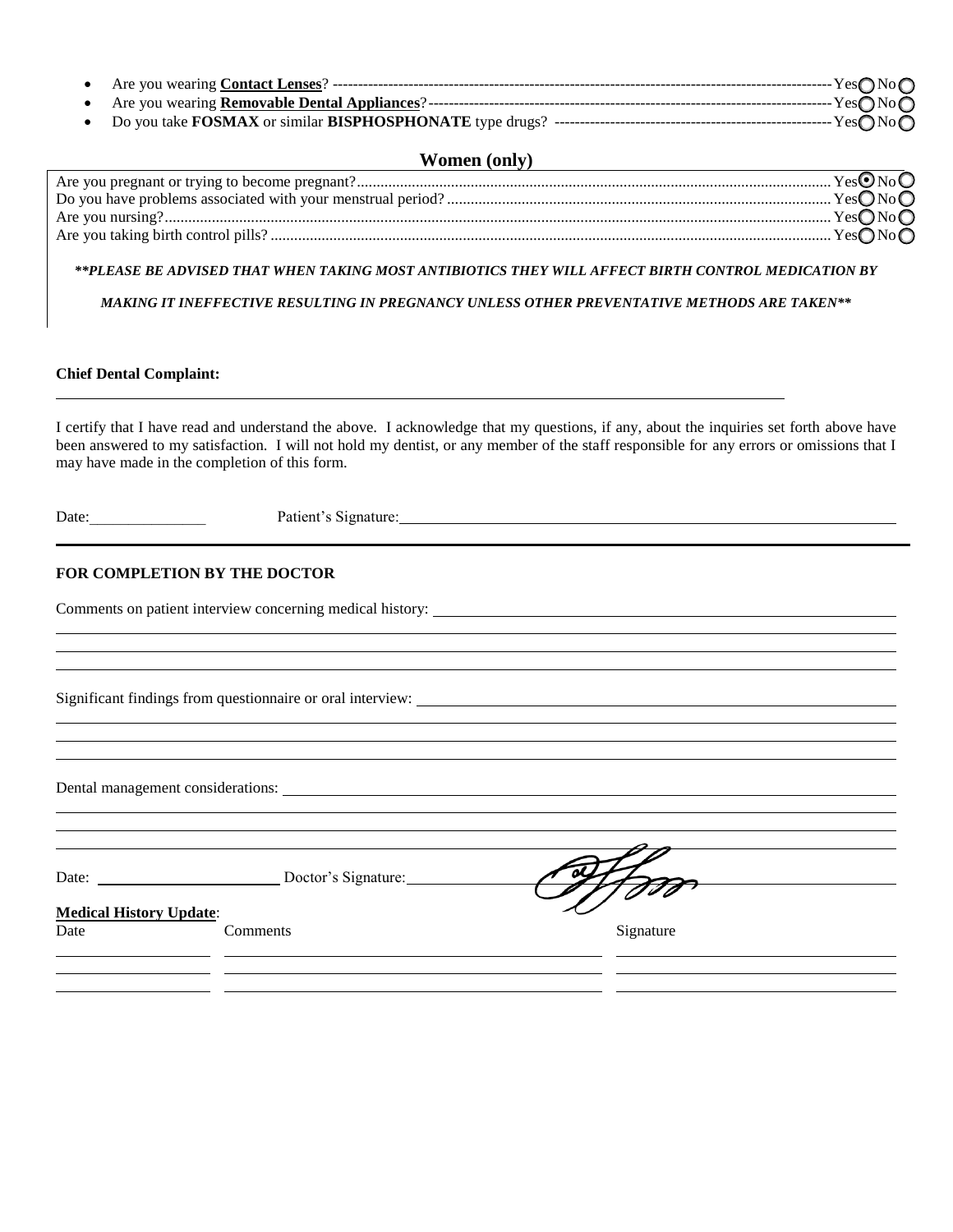## **Women (only)**

|                                     | Yes⊙No∪ |
|-------------------------------------|---------|
|                                     | YesONoO |
| Are you nursing?                    | YesONoO |
| Are you taking birth control pills? | YesONo  |

*\*\*PLEASE BE ADVISED THAT WHEN TAKING MOST ANTIBIOTICS THEY WILL AFFECT BIRTH CONTROL MEDICATION BY* 

*MAKING IT INEFFECTIVE RESULTING IN PREGNANCY UNLESS OTHER PREVENTATIVE METHODS ARE TAKEN\*\** 

### **Chief Dental Complaint:**

I certify that I have read and understand the above. I acknowledge that my questions, if any, about the inquiries set forth above have been answered to my satisfaction. I will not hold my dentist, or any member of the staff responsible for any errors or omissions that I may have made in the completion of this form.

Date: Patient's Signature: Patient's Signature:

## **FOR COMPLETION BY THE DOCTOR**

Comments on patient interview concerning medical history:

Significant findings from questionnaire or oral interview:

Dental management considerations:

Date: <u>Doctor's Signature:</u> **Medical History Update**: Date Comments Commetes Signature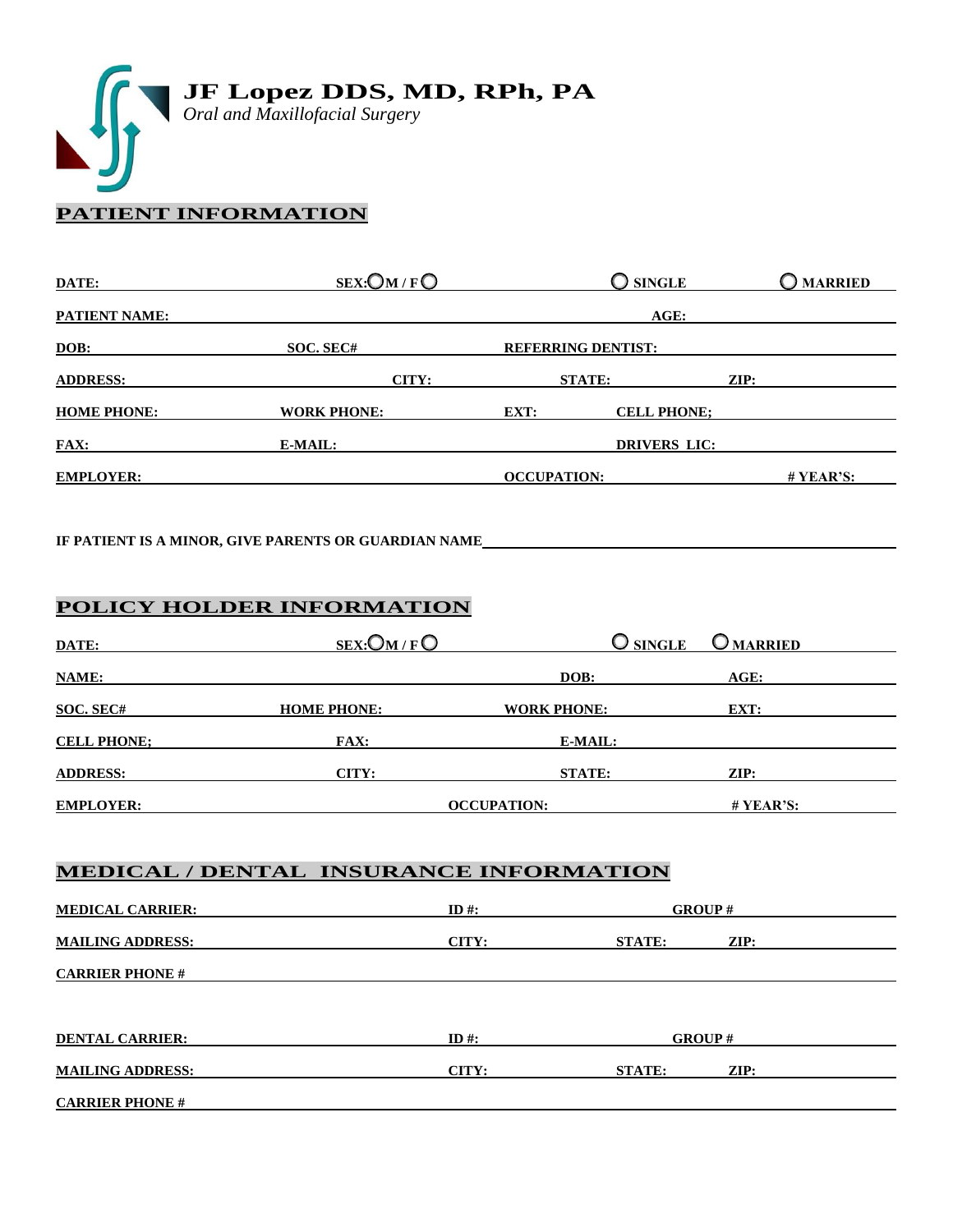

**PATIENT INFORMATION** 

| DATE: $SEX:\overline{OM}/F\overline{O}$                                           |                                    |       |                    | $\bigcirc$ single  |                 | O MARRIED        |
|-----------------------------------------------------------------------------------|------------------------------------|-------|--------------------|--------------------|-----------------|------------------|
| <b>PATIENT NAME:</b>                                                              |                                    |       |                    |                    | AGE:            |                  |
| DOB:                                                                              | <b>SOC.SEC#</b> REFERRING DENTIST: |       |                    |                    |                 |                  |
| ADDRESS: CITY: STATE: STATE:                                                      |                                    |       |                    |                    | $\mathbf{ZIP:}$ |                  |
| <b>HOME PHONE:</b>                                                                | <b>WORK PHONE:</b> EXT:            |       |                    | <b>CELL PHONE;</b> |                 |                  |
| FAX: E-MAIL: BRIVERS LIC:                                                         |                                    |       |                    |                    |                 |                  |
| <b>EMPLOYER:</b>                                                                  |                                    |       | <b>OCCUPATION:</b> |                    |                 | # YEAR'S:        |
| IF PATIENT IS A MINOR, GIVE PARENTS OR GUARDIAN NAME<br>POLICY HOLDER INFORMATION |                                    |       |                    |                    |                 |                  |
| DATE: $SEX:OM/FO$                                                                 |                                    |       |                    | $\bigcirc$ single  |                 | <b>O</b> MARRIED |
| NAME:                                                                             |                                    |       |                    |                    |                 | DOB: AGE:        |
| SOC. SEC# HOME PHONE: WORK PHONE:                                                 |                                    |       |                    |                    | EXT:            |                  |
| CELL PHONE; FAX: E-MAIL:                                                          |                                    |       |                    |                    |                 |                  |
| ADDRESS: CITY:                                                                    |                                    |       | <b>STATE:</b>      |                    |                 | ZIP:             |
| EMPLOYER: #YEAR'S:                                                                |                                    |       |                    |                    |                 |                  |
| MEDICAL / DENTAL INSURANCE INFORMATION<br><b>MEDICAL CARRIER:</b>                 | $ID \#$                            |       |                    | $GROUP \#$         |                 |                  |
| <b>MAILING ADDRESS:</b>                                                           |                                    |       | CITY:              | STATE:             | $\mathbf{ZIP:}$ |                  |
| <b>CARRIER PHONE#</b>                                                             |                                    |       |                    |                    |                 |                  |
| <b>DENTAL CARRIER:</b>                                                            |                                    | ID #: |                    |                    | <b>GROUP#</b>   |                  |
| <b>MAILING ADDRESS:</b>                                                           |                                    | CITY: |                    | <b>STATE:</b>      | ZIP:            |                  |
| <b>CARRIER PHONE#</b>                                                             |                                    |       |                    |                    |                 |                  |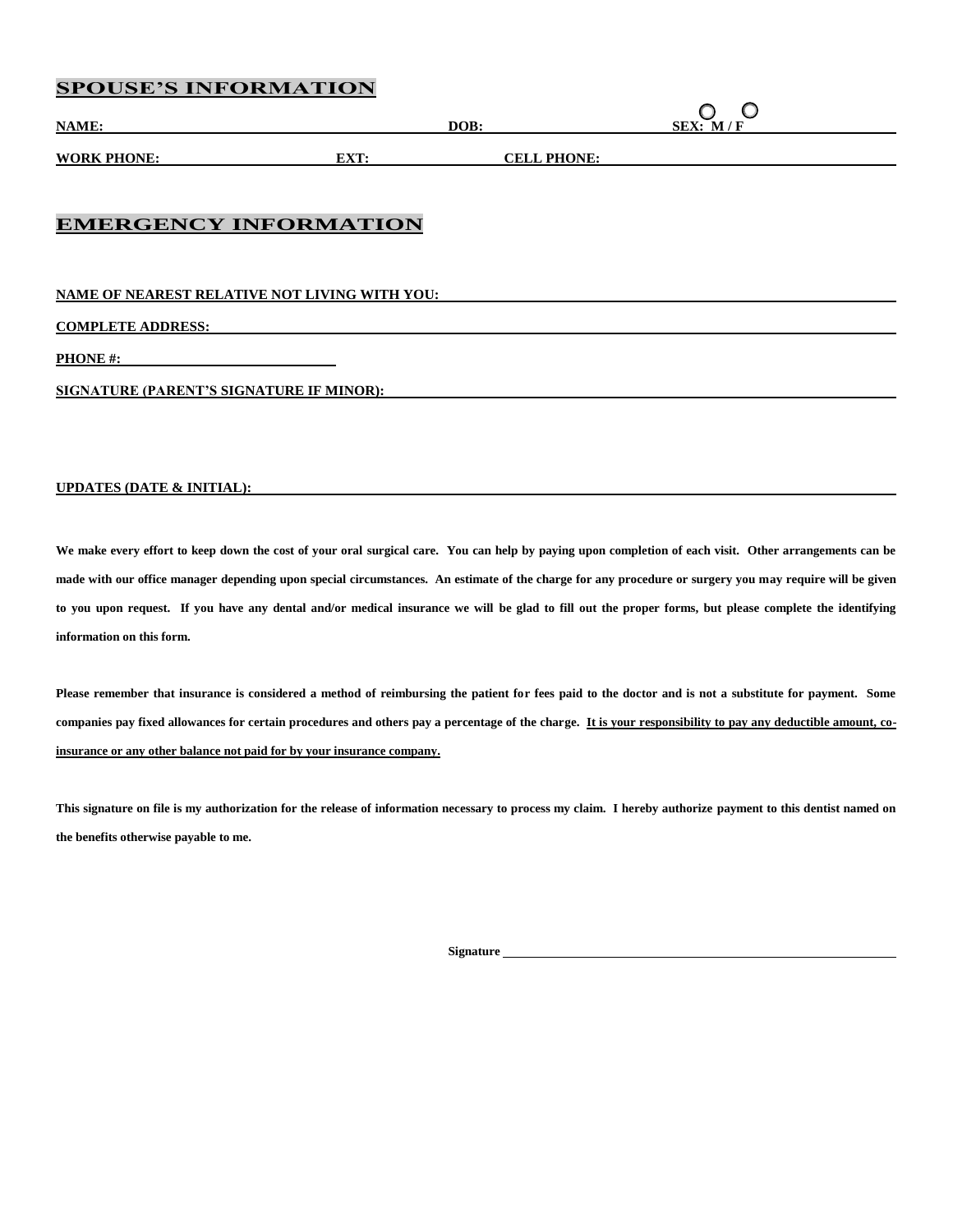## **SPOUSE'S INFORMATION**

| <b>NAME:</b>       | DOB:  |                    | ∽<br>SEX: M/F |
|--------------------|-------|--------------------|---------------|
| <b>WORK PHONE:</b> | EA L' | <b>CELL PHONE:</b> |               |

## **EMERGENCY INFORMATION**

#### **NAME OF NEAREST RELATIVE NOT LIVING WITH YOU:**

#### **COMPLETE ADDRESS:**

#### **PHONE #:**

#### **SIGNATURE (PARENT'S SIGNATURE IF MINOR):**

#### **UPDATES (DATE & INITIAL):**

**We make every effort to keep down the cost of your oral surgical care. You can help by paying upon completion of each visit. Other arrangements can be made with our office manager depending upon special circumstances. An estimate of the charge for any procedure or surgery you may require will be given to you upon request. If you have any dental and/or medical insurance we will be glad to fill out the proper forms, but please complete the identifying information on this form.** 

**Please remember that insurance is considered a method of reimbursing the patient for fees paid to the doctor and is not a substitute for payment. Some companies pay fixed allowances for certain procedures and others pay a percentage of the charge. It is your responsibility to pay any deductible amount, coinsurance or any other balance not paid for by your insurance company.** 

**This signature on file is my authorization for the release of information necessary to process my claim. I hereby authorize payment to this dentist named on the benefits otherwise payable to me.** 

 **Signature**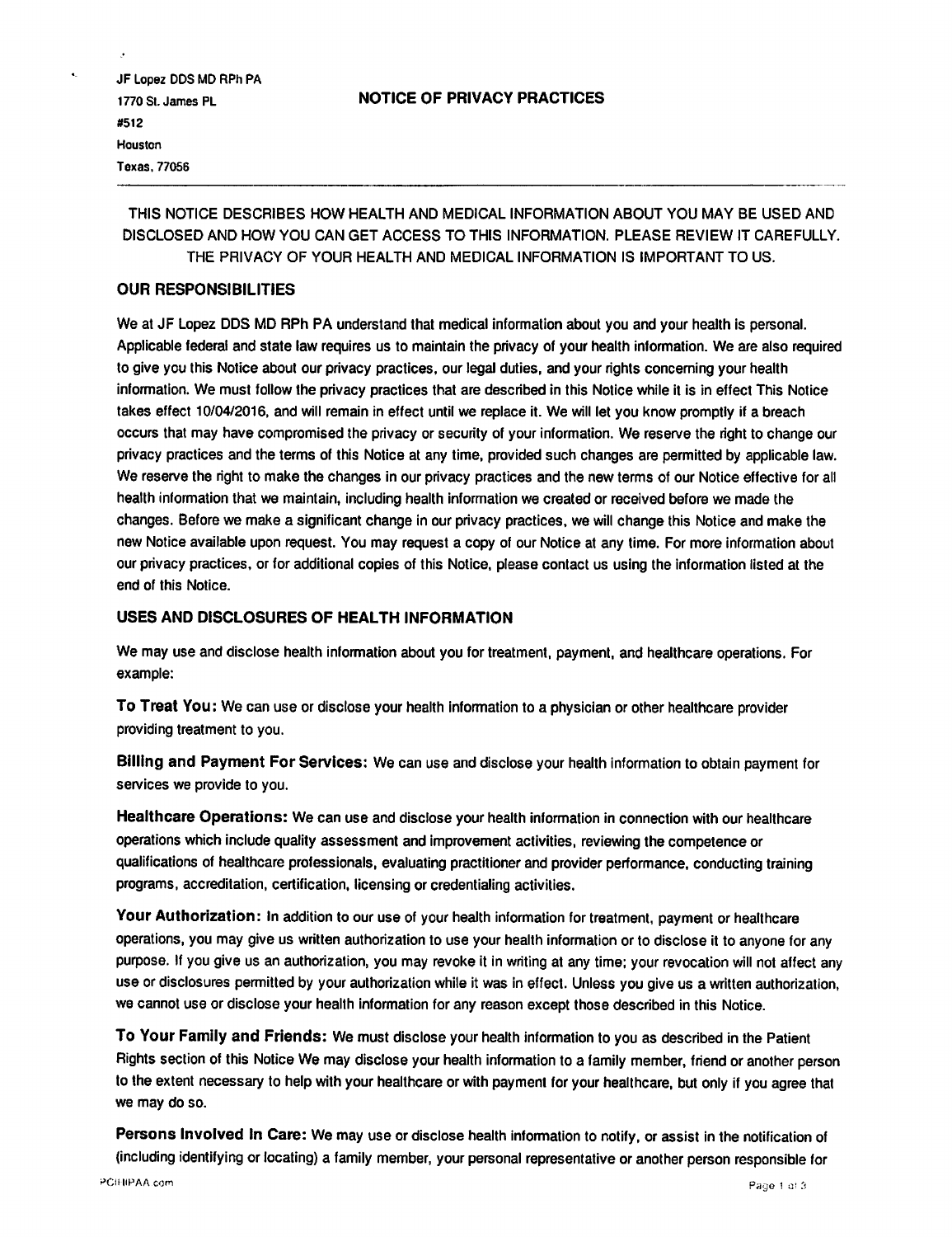| JF Lopez DDS MD RPh PA |
|------------------------|
| 1770 St. James PL      |
| #512                   |
| Houston                |
| Texas, 77056           |
|                        |

 $\cdot$ 

## THIS NOTICE DESCRIBES HOW HEALTH AND MEDICAL INFORMATION ABOUT YOU MAY BE USED AND DISCLOSED AND HOW YOU CAN GET ACCESS TO THIS INFORMATION. PLEASE REVIEW IT CAREFULLY. THE PRIVACY OF YOUR HEALTH AND MEDICAL INFORMATION IS IMPORTANT TO US.

### **OUR RESPONSIBILITIES**

We at JF Lopez DDS MD RPh PA understand that medical information about you and your health is personal. Applicable federal and state law requires us to maintain the privacy of your health information. We are also required to give you this Notice about our privacy practices, our legal duties, and your rights concerning your health information. We must follow the privacy practices that are described in this Notice while it is in effect This Notice takes effect 10/04/2016, and will remain in effect until we replace it. We will let you know promptly if a breach occurs that may have compromised the privacy or security of your information. We reserve the right to change our privacy practices and the terms of this Notice at any time, provided such changes are permitted by applicable law. We reserve the right to make the changes in our privacy practices and the new terms of our Notice effective for all health information that we maintain, including health information we created or received before we made the changes. Before we make a significant change in our privacy practices, we will change this Notice and make the new Notice available upon request. You may request a copy of our Notice at any time. For more information about our privacy practices, or for additional copies of this Notice, please contact us using the information listed at the end of this Notice.

### USES AND DISCLOSURES OF HEALTH INFORMATION

We may use and disclose health information about you for treatment, payment, and healthcare operations. For example:

To Treat You: We can use or disclose your health information to a physician or other healthcare provider providing treatment to you.

Billing and Payment For Services: We can use and disclose your health information to obtain payment for services we provide to you.

Healthcare Operations: We can use and disclose your health information in connection with our healthcare operations which include quality assessment and improvement activities, reviewing the competence or qualifications of healthcare professionals, evaluating practitioner and provider performance, conducting training programs, accreditation, certification, licensing or credentialing activities.

Your Authorization: In addition to our use of your health information for treatment, payment or healthcare operations, you may give us written authorization to use your health information or to disclose it to anyone for any purpose. If you give us an authorization, you may revoke it in writing at any time; your revocation will not affect any use or disclosures permitted by your authorization while it was in effect. Unless you give us a written authorization, we cannot use or disclose your health information for any reason except those described in this Notice.

To Your Family and Friends: We must disclose your health information to you as described in the Patient Rights section of this Notice We may disclose your health information to a family member, friend or another person to the extent necessary to help with your healthcare or with payment for your healthcare, but only if you agree that we may do so.

Persons Involved In Care: We may use or disclose health information to notify, or assist in the notification of (including identifying or locating) a family member, your personal representative or another person responsible for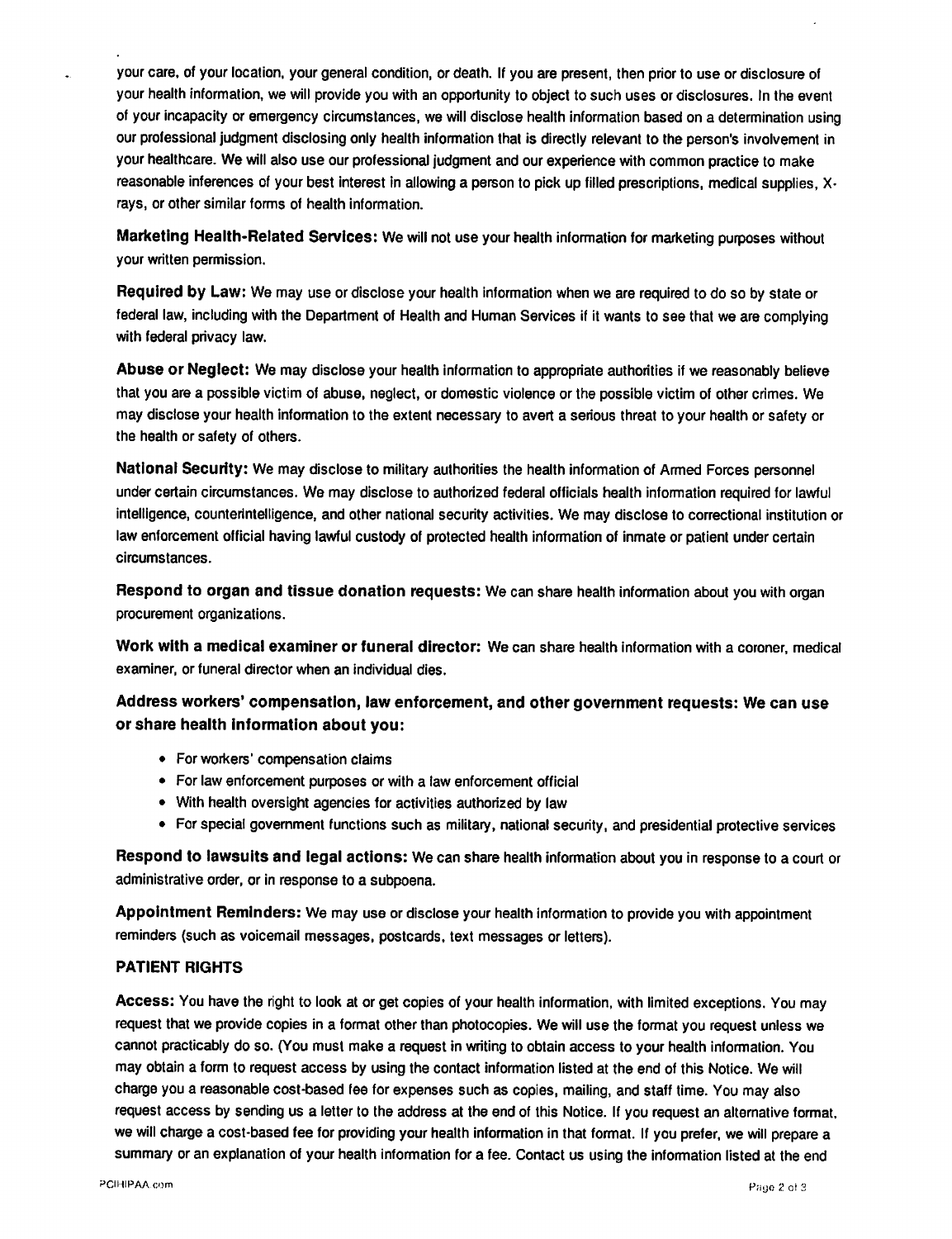your care, of your location, your general condition, or death. If you are present, then prior to use or disclosure of your health information, we will provide you with an opportunity to object to such uses or disclosures. In the event of your incapacity or emergency circumstances, we will disclose health information based on a determination using our professional judgment disclosing only health information that is directly relevant to the person's involvement in your healthcare. We will also use our professional judgment and our experience with common practice to make reasonable inferences of your best interest in allowing a person to pick up filled prescriptions, medical supplies, Xrays, or other similar forms of health information.

Marketing Health-Related Services: We will not use your health information for marketing purposes without your written permission.

Required by Law: We may use or disclose your health information when we are required to do so by state or federal law, including with the Department of Health and Human Services if it wants to see that we are complying with federal privacy law.

Abuse or Neglect: We may disclose your health information to appropriate authorities if we reasonably believe that you are a possible victim of abuse, neglect, or domestic violence or the possible victim of other crimes. We may disclose your health information to the extent necessary to avert a serious threat to your health or safety or the health or safety of others.

National Security: We may disclose to military authorities the health information of Armed Forces personnel under certain circumstances. We may disclose to authorized federal officials health information required for lawful intelligence, counterintelligence, and other national security activities. We may disclose to correctional institution or law enforcement official having lawful custody of protected health information of inmate or patient under certain circumstances.

Respond to organ and tissue donation requests: We can share health information about you with organ procurement organizations.

Work with a medical examiner or funeral director: We can share health information with a coroner, medical examiner, or funeral director when an individual dies.

Address workers' compensation, law enforcement, and other government requests: We can use or share health information about you:

- For workers' compensation claims
- For law enforcement purposes or with a law enforcement official
- With health oversight agencies for activities authorized by law
- For special government functions such as military, national security, and presidential protective services

Respond to lawsuits and legal actions: We can share health information about you in response to a court or administrative order, or in response to a subpoena.

Appointment Reminders: We may use or disclose your health information to provide you with appointment reminders (such as voicemail messages, postcards, text messages or letters).

### **PATIENT RIGHTS**

Access: You have the right to look at or get copies of your health information, with limited exceptions. You may request that we provide copies in a format other than photocopies. We will use the format you request unless we cannot practicably do so. (You must make a request in writing to obtain access to your health information. You may obtain a form to request access by using the contact information listed at the end of this Notice. We will charge you a reasonable cost-based fee for expenses such as copies, mailing, and staff time. You may also request access by sending us a letter to the address at the end of this Notice. If you request an alternative format, we will charge a cost-based fee for providing your health information in that format. If you prefer, we will prepare a summary or an explanation of your health information for a fee. Contact us using the information listed at the end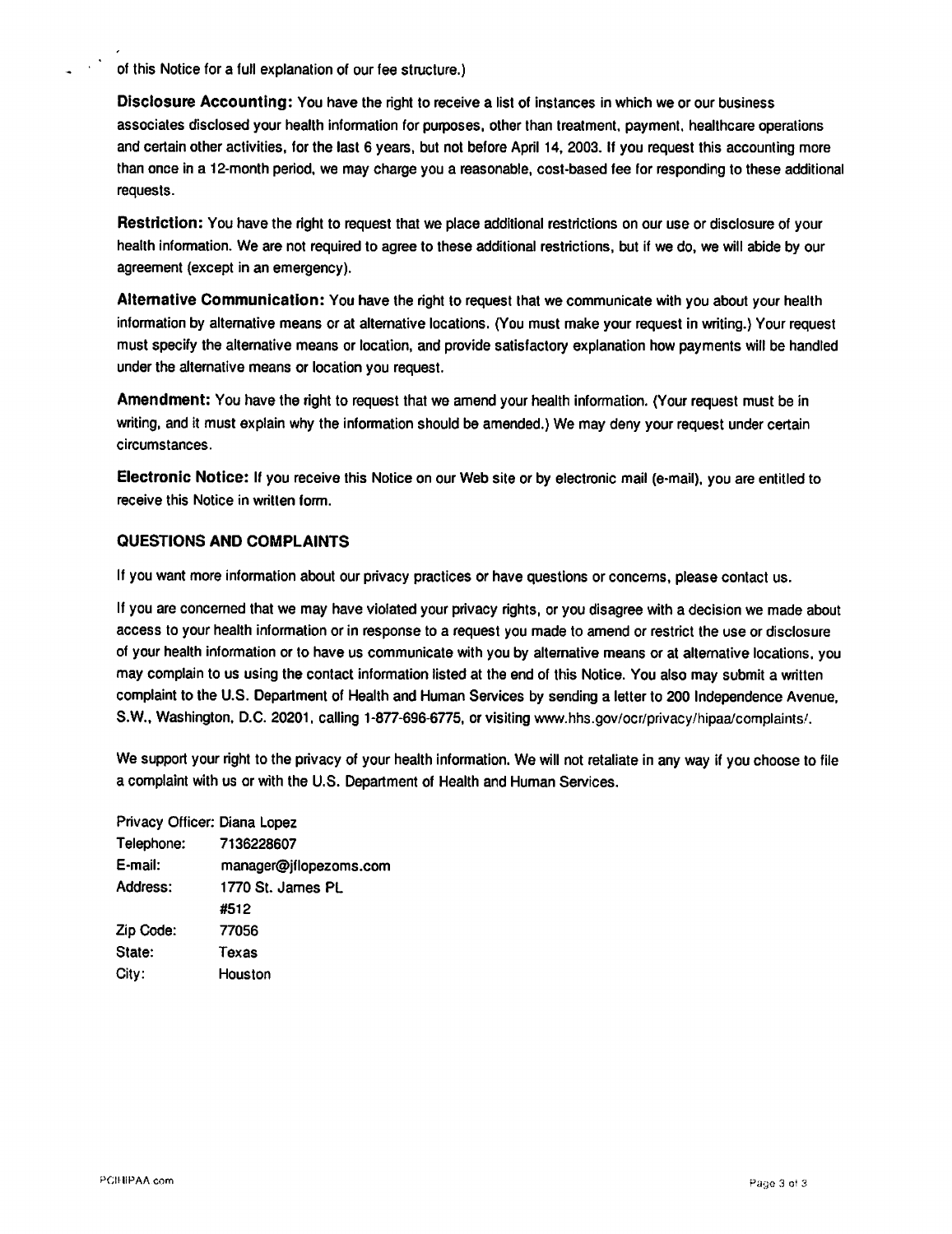of this Notice for a full explanation of our fee structure.)

Disclosure Accounting: You have the right to receive a list of instances in which we or our business associates disclosed your health information for purposes, other than treatment, payment, healthcare operations and certain other activities, for the last 6 years, but not before April 14, 2003. If you request this accounting more than once in a 12-month period, we may charge you a reasonable, cost-based fee for responding to these additional requests.

Restriction: You have the right to request that we place additional restrictions on our use or disclosure of your health information. We are not required to agree to these additional restrictions, but if we do, we will abide by our agreement (except in an emergency).

Alternative Communication: You have the right to request that we communicate with you about your health information by alternative means or at alternative locations. (You must make your request in writing.) Your request must specify the alternative means or location, and provide satisfactory explanation how payments will be handled under the alternative means or location you request.

Amendment: You have the right to request that we amend your health information. (Your request must be in writing, and it must explain why the information should be amended.) We may deny your request under certain circumstances.

Electronic Notice: If you receive this Notice on our Web site or by electronic mail (e-mail), you are entitled to receive this Notice in written form.

### **QUESTIONS AND COMPLAINTS**

If you want more information about our privacy practices or have questions or concerns, please contact us.

If you are concerned that we may have violated your privacy rights, or you disagree with a decision we made about access to your health information or in response to a request you made to amend or restrict the use or disclosure of your health information or to have us communicate with you by alternative means or at alternative locations, you may complain to us using the contact information listed at the end of this Notice. You also may submit a written complaint to the U.S. Department of Health and Human Services by sending a letter to 200 Independence Avenue. S.W., Washington, D.C. 20201, calling 1-877-696-6775, or visiting www.hhs.gov/ocr/privacy/hipaa/complaints/.

We support your right to the privacy of your health information. We will not retaliate in any way if you choose to file a complaint with us or with the U.S. Department of Health and Human Services.

| Privacy Officer: Diana Lopez |                        |
|------------------------------|------------------------|
| Telephone:                   | 7136228607             |
| E-mail:                      | manager@jflopezoms.com |
| Address:                     | 1770 St. James PL      |
|                              | #512                   |
| Zip Code:                    | 77056                  |
| State:                       | Texas                  |
| City:                        | Houston                |